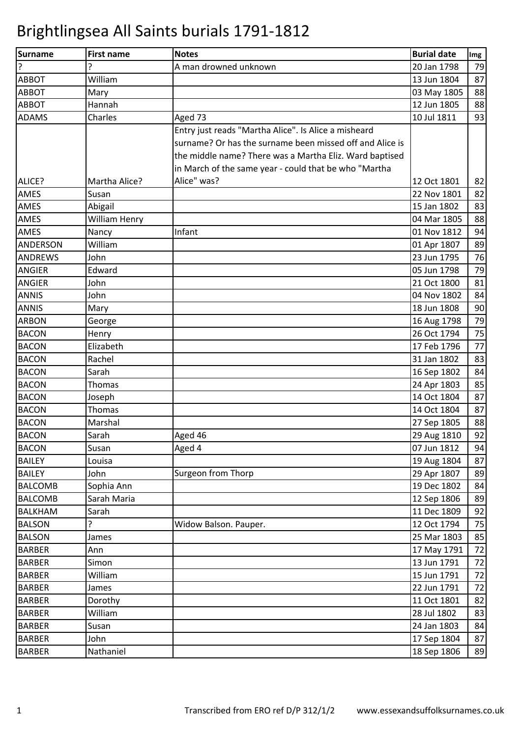| <b>Surname</b>  | <b>First name</b> | <b>Notes</b>                                             | <b>Burial date</b> | Img |
|-----------------|-------------------|----------------------------------------------------------|--------------------|-----|
| ٦.              | ς                 | A man drowned unknown                                    | 20 Jan 1798        | 79  |
| <b>ABBOT</b>    | William           |                                                          | 13 Jun 1804        | 87  |
| <b>ABBOT</b>    | Mary              |                                                          | 03 May 1805        | 88  |
| <b>ABBOT</b>    | Hannah            |                                                          | 12 Jun 1805        | 88  |
| <b>ADAMS</b>    | Charles           | Aged 73                                                  | 10 Jul 1811        | 93  |
|                 |                   | Entry just reads "Martha Alice". Is Alice a misheard     |                    |     |
|                 |                   | surname? Or has the surname been missed off and Alice is |                    |     |
|                 |                   | the middle name? There was a Martha Eliz. Ward baptised  |                    |     |
|                 |                   | in March of the same year - could that be who "Martha    |                    |     |
| ALICE?          | Martha Alice?     | Alice" was?                                              | 12 Oct 1801        | 82  |
| <b>AMES</b>     | Susan             |                                                          | 22 Nov 1801        | 82  |
| <b>AMES</b>     | Abigail           |                                                          | 15 Jan 1802        | 83  |
| <b>AMES</b>     | William Henry     |                                                          | 04 Mar 1805        | 88  |
| <b>AMES</b>     | Nancy             | Infant                                                   | 01 Nov 1812        | 94  |
| <b>ANDERSON</b> | William           |                                                          | 01 Apr 1807        | 89  |
| <b>ANDREWS</b>  | John              |                                                          | 23 Jun 1795        | 76  |
| <b>ANGIER</b>   | Edward            |                                                          | 05 Jun 1798        | 79  |
| <b>ANGIER</b>   | John              |                                                          | 21 Oct 1800        | 81  |
| <b>ANNIS</b>    | John              |                                                          | 04 Nov 1802        | 84  |
| <b>ANNIS</b>    | Mary              |                                                          | 18 Jun 1808        | 90  |
| <b>ARBON</b>    | George            |                                                          | 16 Aug 1798        | 79  |
| <b>BACON</b>    | Henry             |                                                          | 26 Oct 1794        | 75  |
| <b>BACON</b>    | Elizabeth         |                                                          | 17 Feb 1796        | 77  |
| <b>BACON</b>    | Rachel            |                                                          | 31 Jan 1802        | 83  |
| <b>BACON</b>    | Sarah             |                                                          | 16 Sep 1802        | 84  |
| <b>BACON</b>    | Thomas            |                                                          | 24 Apr 1803        | 85  |
| <b>BACON</b>    | Joseph            |                                                          | 14 Oct 1804        | 87  |
| <b>BACON</b>    | Thomas            |                                                          | 14 Oct 1804        | 87  |
| <b>BACON</b>    | Marshal           |                                                          | 27 Sep 1805        | 88  |
| <b>BACON</b>    | Sarah             | Aged 46                                                  | 29 Aug 1810        | 92  |
| <b>BACON</b>    | Susan             | Aged 4                                                   | 07 Jun 1812        | 94  |
| <b>BAILEY</b>   | Louisa            |                                                          | 19 Aug 1804        | 87  |
| <b>BAILEY</b>   | John              | Surgeon from Thorp                                       | 29 Apr 1807        | 89  |
| <b>BALCOMB</b>  | Sophia Ann        |                                                          | 19 Dec 1802        | 84  |
| <b>BALCOMB</b>  | Sarah Maria       |                                                          | 12 Sep 1806        | 89  |
| <b>BALKHAM</b>  | Sarah             |                                                          | 11 Dec 1809        | 92  |
| <b>BALSON</b>   | ?                 | Widow Balson. Pauper.                                    | 12 Oct 1794        | 75  |
| <b>BALSON</b>   | James             |                                                          | 25 Mar 1803        | 85  |
| <b>BARBER</b>   | Ann               |                                                          | 17 May 1791        | 72  |
| <b>BARBER</b>   | Simon             |                                                          | 13 Jun 1791        | 72  |
| <b>BARBER</b>   | William           |                                                          | 15 Jun 1791        | 72  |
| <b>BARBER</b>   | James             |                                                          | 22 Jun 1791        | 72  |
| <b>BARBER</b>   | Dorothy           |                                                          | 11 Oct 1801        | 82  |
| <b>BARBER</b>   | William           |                                                          | 28 Jul 1802        | 83  |
| <b>BARBER</b>   | Susan             |                                                          | 24 Jan 1803        | 84  |
| <b>BARBER</b>   | John              |                                                          | 17 Sep 1804        | 87  |
| <b>BARBER</b>   | Nathaniel         |                                                          | 18 Sep 1806        | 89  |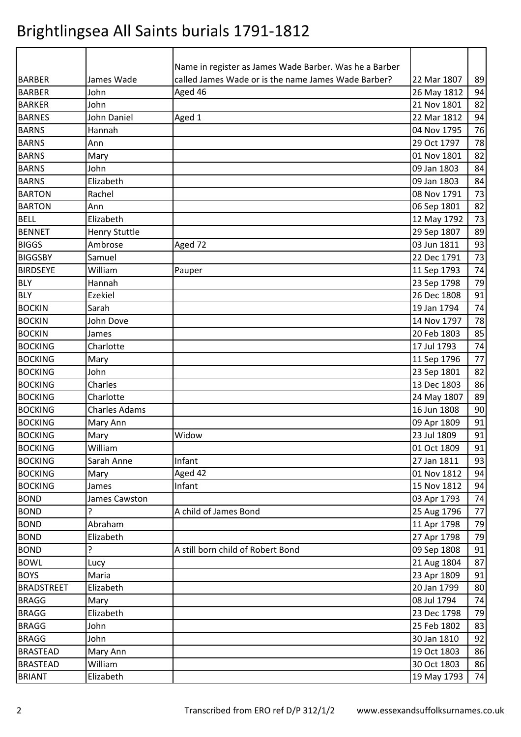| <b>BARBER</b>     | James Wade           | Name in register as James Wade Barber. Was he a Barber<br>called James Wade or is the name James Wade Barber? | 22 Mar 1807 |          |
|-------------------|----------------------|---------------------------------------------------------------------------------------------------------------|-------------|----------|
| <b>BARBER</b>     | John                 | Aged 46                                                                                                       | 26 May 1812 | 89<br>94 |
| <b>BARKER</b>     | John                 |                                                                                                               | 21 Nov 1801 | 82       |
| <b>BARNES</b>     | John Daniel          | Aged 1                                                                                                        | 22 Mar 1812 | 94       |
|                   | Hannah               |                                                                                                               | 04 Nov 1795 | 76       |
| <b>BARNS</b>      |                      |                                                                                                               |             |          |
| <b>BARNS</b>      | Ann                  |                                                                                                               | 29 Oct 1797 | 78       |
| <b>BARNS</b>      | Mary                 |                                                                                                               | 01 Nov 1801 | 82       |
| <b>BARNS</b>      | John                 |                                                                                                               | 09 Jan 1803 | 84       |
| <b>BARNS</b>      | Elizabeth            |                                                                                                               | 09 Jan 1803 | 84       |
| <b>BARTON</b>     | Rachel               |                                                                                                               | 08 Nov 1791 | 73       |
| <b>BARTON</b>     | Ann                  |                                                                                                               | 06 Sep 1801 | 82       |
| <b>BELL</b>       | Elizabeth            |                                                                                                               | 12 May 1792 | 73       |
| <b>BENNET</b>     | <b>Henry Stuttle</b> |                                                                                                               | 29 Sep 1807 | 89       |
| <b>BIGGS</b>      | Ambrose              | Aged 72                                                                                                       | 03 Jun 1811 | 93       |
| <b>BIGGSBY</b>    | Samuel               |                                                                                                               | 22 Dec 1791 | 73       |
| <b>BIRDSEYE</b>   | William              | Pauper                                                                                                        | 11 Sep 1793 | 74       |
| <b>BLY</b>        | Hannah               |                                                                                                               | 23 Sep 1798 | 79       |
| <b>BLY</b>        | Ezekiel              |                                                                                                               | 26 Dec 1808 | 91       |
| <b>BOCKIN</b>     | Sarah                |                                                                                                               | 19 Jan 1794 | 74       |
| <b>BOCKIN</b>     | John Dove            |                                                                                                               | 14 Nov 1797 | 78       |
| <b>BOCKIN</b>     | James                |                                                                                                               | 20 Feb 1803 | 85       |
| <b>BOCKING</b>    | Charlotte            |                                                                                                               | 17 Jul 1793 | 74       |
| <b>BOCKING</b>    | Mary                 |                                                                                                               | 11 Sep 1796 | 77       |
| <b>BOCKING</b>    | John                 |                                                                                                               | 23 Sep 1801 | 82       |
| <b>BOCKING</b>    | Charles              |                                                                                                               | 13 Dec 1803 | 86       |
| <b>BOCKING</b>    | Charlotte            |                                                                                                               | 24 May 1807 | 89       |
| <b>BOCKING</b>    | <b>Charles Adams</b> |                                                                                                               | 16 Jun 1808 | 90       |
| <b>BOCKING</b>    | Mary Ann             |                                                                                                               | 09 Apr 1809 | 91       |
| <b>BOCKING</b>    | Mary                 | Widow                                                                                                         | 23 Jul 1809 | 91       |
| <b>BOCKING</b>    | William              |                                                                                                               | 01 Oct 1809 | 91       |
| <b>BOCKING</b>    | Sarah Anne           | Infant                                                                                                        | 27 Jan 1811 | 93       |
| <b>BOCKING</b>    | Mary                 | Aged 42                                                                                                       | 01 Nov 1812 | 94       |
| <b>BOCKING</b>    | James                | Infant                                                                                                        | 15 Nov 1812 | 94       |
| <b>BOND</b>       | James Cawston        |                                                                                                               | 03 Apr 1793 | 74       |
| <b>BOND</b>       | 5.                   | A child of James Bond                                                                                         | 25 Aug 1796 | 77       |
| <b>BOND</b>       | Abraham              |                                                                                                               | 11 Apr 1798 | 79       |
| <b>BOND</b>       | Elizabeth            |                                                                                                               | 27 Apr 1798 | 79       |
| <b>BOND</b>       | ŗ                    | A still born child of Robert Bond                                                                             | 09 Sep 1808 | 91       |
| <b>BOWL</b>       | Lucy                 |                                                                                                               | 21 Aug 1804 | 87       |
| <b>BOYS</b>       | Maria                |                                                                                                               | 23 Apr 1809 | 91       |
| <b>BRADSTREET</b> | Elizabeth            |                                                                                                               | 20 Jan 1799 | 80       |
| <b>BRAGG</b>      | Mary                 |                                                                                                               | 08 Jul 1794 | 74       |
| <b>BRAGG</b>      | Elizabeth            |                                                                                                               | 23 Dec 1798 | 79       |
| <b>BRAGG</b>      | John                 |                                                                                                               | 25 Feb 1802 | 83       |
| <b>BRAGG</b>      | John                 |                                                                                                               | 30 Jan 1810 | 92       |
| <b>BRASTEAD</b>   | Mary Ann             |                                                                                                               | 19 Oct 1803 | 86       |
| <b>BRASTEAD</b>   | William              |                                                                                                               | 30 Oct 1803 | 86       |
| <b>BRIANT</b>     | Elizabeth            |                                                                                                               | 19 May 1793 | 74       |
|                   |                      |                                                                                                               |             |          |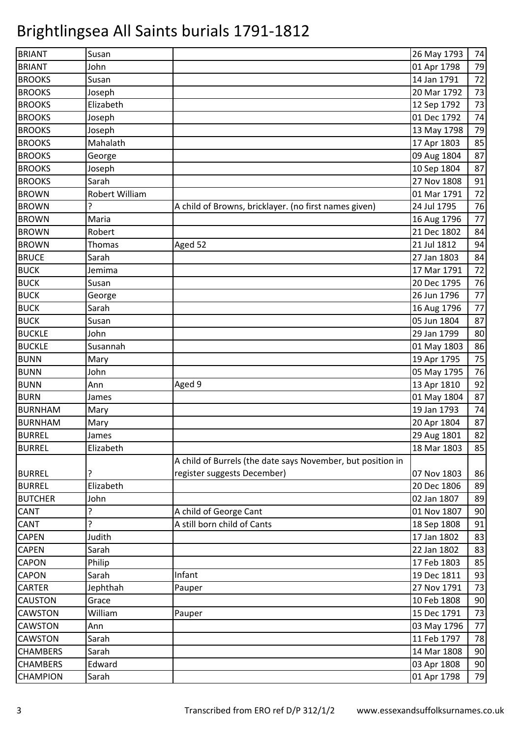| <b>BRIANT</b>   | Susan          |                                                             | 26 May 1793 | 74 |
|-----------------|----------------|-------------------------------------------------------------|-------------|----|
| <b>BRIANT</b>   | John           |                                                             | 01 Apr 1798 | 79 |
| <b>BROOKS</b>   | Susan          |                                                             | 14 Jan 1791 | 72 |
| <b>BROOKS</b>   | Joseph         |                                                             | 20 Mar 1792 | 73 |
| <b>BROOKS</b>   | Elizabeth      |                                                             | 12 Sep 1792 | 73 |
| <b>BROOKS</b>   | Joseph         |                                                             | 01 Dec 1792 | 74 |
| <b>BROOKS</b>   | Joseph         |                                                             | 13 May 1798 | 79 |
| <b>BROOKS</b>   | Mahalath       |                                                             | 17 Apr 1803 | 85 |
| <b>BROOKS</b>   | George         |                                                             | 09 Aug 1804 | 87 |
| <b>BROOKS</b>   | Joseph         |                                                             | 10 Sep 1804 | 87 |
| <b>BROOKS</b>   | Sarah          |                                                             | 27 Nov 1808 | 91 |
| <b>BROWN</b>    | Robert William |                                                             | 01 Mar 1791 | 72 |
| <b>BROWN</b>    | ?              | A child of Browns, bricklayer. (no first names given)       | 24 Jul 1795 | 76 |
| <b>BROWN</b>    | Maria          |                                                             | 16 Aug 1796 | 77 |
| <b>BROWN</b>    | Robert         |                                                             | 21 Dec 1802 | 84 |
| <b>BROWN</b>    | Thomas         | Aged 52                                                     | 21 Jul 1812 | 94 |
| <b>BRUCE</b>    | Sarah          |                                                             | 27 Jan 1803 | 84 |
| <b>BUCK</b>     | Jemima         |                                                             | 17 Mar 1791 | 72 |
| <b>BUCK</b>     | Susan          |                                                             | 20 Dec 1795 | 76 |
| <b>BUCK</b>     | George         |                                                             | 26 Jun 1796 | 77 |
| <b>BUCK</b>     | Sarah          |                                                             | 16 Aug 1796 | 77 |
| <b>BUCK</b>     | Susan          |                                                             | 05 Jun 1804 | 87 |
| <b>BUCKLE</b>   | John           |                                                             | 29 Jan 1799 | 80 |
| <b>BUCKLE</b>   | Susannah       |                                                             | 01 May 1803 | 86 |
| <b>BUNN</b>     | Mary           |                                                             | 19 Apr 1795 | 75 |
| <b>BUNN</b>     | John           |                                                             | 05 May 1795 | 76 |
| <b>BUNN</b>     | Ann            | Aged 9                                                      | 13 Apr 1810 | 92 |
| <b>BURN</b>     | James          |                                                             | 01 May 1804 | 87 |
| <b>BURNHAM</b>  | Mary           |                                                             | 19 Jan 1793 | 74 |
| <b>BURNHAM</b>  | Mary           |                                                             | 20 Apr 1804 | 87 |
| <b>BURREL</b>   | James          |                                                             | 29 Aug 1801 | 82 |
| <b>BURREL</b>   | Elizabeth      |                                                             | 18 Mar 1803 | 85 |
|                 |                | A child of Burrels (the date says November, but position in |             |    |
| <b>BURREL</b>   |                | register suggests December)                                 | 07 Nov 1803 | 86 |
| <b>BURREL</b>   | Elizabeth      |                                                             | 20 Dec 1806 | 89 |
| <b>BUTCHER</b>  | John           |                                                             | 02 Jan 1807 | 89 |
| <b>CANT</b>     | ?              | A child of George Cant                                      | 01 Nov 1807 | 90 |
| <b>CANT</b>     | ŗ              | A still born child of Cants                                 | 18 Sep 1808 | 91 |
| <b>CAPEN</b>    | Judith         |                                                             | 17 Jan 1802 | 83 |
| <b>CAPEN</b>    | Sarah          |                                                             | 22 Jan 1802 | 83 |
| <b>CAPON</b>    | Philip         |                                                             | 17 Feb 1803 | 85 |
| <b>CAPON</b>    | Sarah          | Infant                                                      | 19 Dec 1811 | 93 |
| <b>CARTER</b>   | Jephthah       | Pauper                                                      | 27 Nov 1791 | 73 |
| <b>CAUSTON</b>  | Grace          |                                                             | 10 Feb 1808 | 90 |
| <b>CAWSTON</b>  | William        | Pauper                                                      | 15 Dec 1791 | 73 |
| <b>CAWSTON</b>  | Ann            |                                                             | 03 May 1796 | 77 |
| <b>CAWSTON</b>  | Sarah          |                                                             | 11 Feb 1797 | 78 |
| <b>CHAMBERS</b> | Sarah          |                                                             | 14 Mar 1808 | 90 |
| <b>CHAMBERS</b> | Edward         |                                                             | 03 Apr 1808 | 90 |
| <b>CHAMPION</b> | Sarah          |                                                             | 01 Apr 1798 | 79 |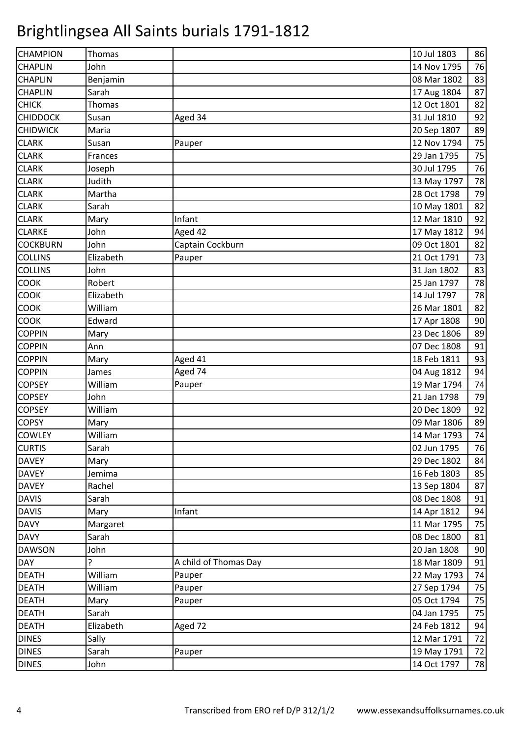| <b>CHAMPION</b> | Thomas    |                       | 10 Jul 1803 | 86 |
|-----------------|-----------|-----------------------|-------------|----|
| <b>CHAPLIN</b>  | John      |                       | 14 Nov 1795 | 76 |
| <b>CHAPLIN</b>  | Benjamin  |                       | 08 Mar 1802 | 83 |
| <b>CHAPLIN</b>  | Sarah     |                       | 17 Aug 1804 | 87 |
| <b>CHICK</b>    | Thomas    |                       | 12 Oct 1801 | 82 |
| <b>CHIDDOCK</b> | Susan     | Aged 34               | 31 Jul 1810 | 92 |
| <b>CHIDWICK</b> | Maria     |                       | 20 Sep 1807 | 89 |
| <b>CLARK</b>    | Susan     | Pauper                | 12 Nov 1794 | 75 |
| <b>CLARK</b>    | Frances   |                       | 29 Jan 1795 | 75 |
| <b>CLARK</b>    | Joseph    |                       | 30 Jul 1795 | 76 |
| <b>CLARK</b>    | Judith    |                       | 13 May 1797 | 78 |
| <b>CLARK</b>    | Martha    |                       | 28 Oct 1798 | 79 |
| <b>CLARK</b>    | Sarah     |                       | 10 May 1801 | 82 |
| <b>CLARK</b>    | Mary      | Infant                | 12 Mar 1810 | 92 |
| <b>CLARKE</b>   | John      | Aged 42               | 17 May 1812 | 94 |
| <b>COCKBURN</b> | John      | Captain Cockburn      | 09 Oct 1801 | 82 |
| <b>COLLINS</b>  | Elizabeth | Pauper                | 21 Oct 1791 | 73 |
| <b>COLLINS</b>  | John      |                       | 31 Jan 1802 | 83 |
| <b>COOK</b>     | Robert    |                       | 25 Jan 1797 | 78 |
| <b>COOK</b>     | Elizabeth |                       | 14 Jul 1797 | 78 |
| <b>COOK</b>     | William   |                       | 26 Mar 1801 | 82 |
| <b>COOK</b>     | Edward    |                       | 17 Apr 1808 | 90 |
| <b>COPPIN</b>   | Mary      |                       | 23 Dec 1806 | 89 |
| <b>COPPIN</b>   | Ann       |                       | 07 Dec 1808 | 91 |
| <b>COPPIN</b>   | Mary      | Aged 41               | 18 Feb 1811 | 93 |
| <b>COPPIN</b>   | James     | Aged 74               | 04 Aug 1812 | 94 |
| <b>COPSEY</b>   | William   | Pauper                | 19 Mar 1794 | 74 |
| <b>COPSEY</b>   | John      |                       | 21 Jan 1798 | 79 |
| <b>COPSEY</b>   | William   |                       | 20 Dec 1809 | 92 |
| <b>COPSY</b>    | Mary      |                       | 09 Mar 1806 | 89 |
| <b>COWLEY</b>   | William   |                       | 14 Mar 1793 | 74 |
| <b>CURTIS</b>   | Sarah     |                       | 02 Jun 1795 | 76 |
| <b>DAVEY</b>    | Mary      |                       | 29 Dec 1802 | 84 |
| <b>DAVEY</b>    | Jemima    |                       | 16 Feb 1803 | 85 |
| <b>DAVEY</b>    | Rachel    |                       | 13 Sep 1804 | 87 |
| <b>DAVIS</b>    | Sarah     |                       | 08 Dec 1808 | 91 |
| <b>DAVIS</b>    | Mary      | Infant                | 14 Apr 1812 | 94 |
| <b>DAVY</b>     | Margaret  |                       | 11 Mar 1795 | 75 |
| <b>DAVY</b>     | Sarah     |                       | 08 Dec 1800 | 81 |
| <b>DAWSON</b>   | John      |                       | 20 Jan 1808 | 90 |
| <b>DAY</b>      | ŗ         | A child of Thomas Day | 18 Mar 1809 | 91 |
| <b>DEATH</b>    | William   | Pauper                | 22 May 1793 | 74 |
| <b>DEATH</b>    | William   | Pauper                | 27 Sep 1794 | 75 |
| <b>DEATH</b>    | Mary      | Pauper                | 05 Oct 1794 | 75 |
| <b>DEATH</b>    | Sarah     |                       | 04 Jan 1795 | 75 |
| <b>DEATH</b>    | Elizabeth | Aged 72               | 24 Feb 1812 | 94 |
| <b>DINES</b>    | Sally     |                       | 12 Mar 1791 | 72 |
| <b>DINES</b>    | Sarah     | Pauper                | 19 May 1791 | 72 |
| <b>DINES</b>    | John      |                       | 14 Oct 1797 | 78 |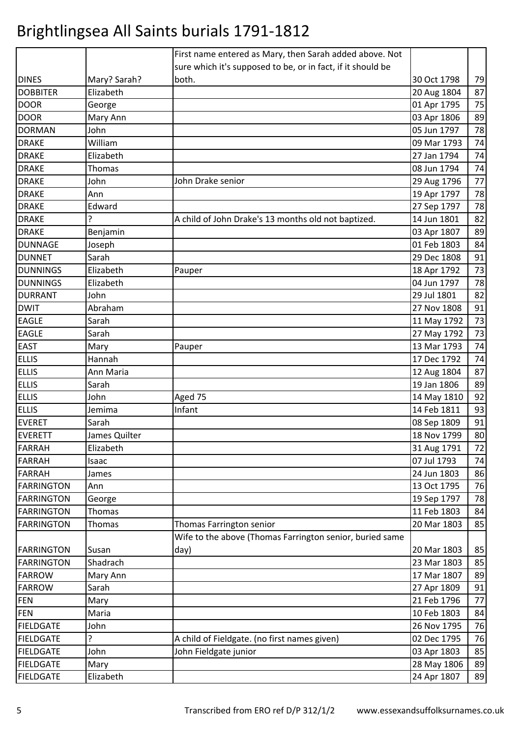|                   |               | First name entered as Mary, then Sarah added above. Not     |             |    |
|-------------------|---------------|-------------------------------------------------------------|-------------|----|
|                   |               | sure which it's supposed to be, or in fact, if it should be |             |    |
| <b>DINES</b>      | Mary? Sarah?  | both.                                                       | 30 Oct 1798 | 79 |
| <b>DOBBITER</b>   | Elizabeth     |                                                             | 20 Aug 1804 | 87 |
| <b>DOOR</b>       | George        |                                                             | 01 Apr 1795 | 75 |
| <b>DOOR</b>       | Mary Ann      |                                                             | 03 Apr 1806 | 89 |
| <b>DORMAN</b>     | John          |                                                             | 05 Jun 1797 | 78 |
| <b>DRAKE</b>      | William       |                                                             | 09 Mar 1793 | 74 |
| <b>DRAKE</b>      | Elizabeth     |                                                             | 27 Jan 1794 | 74 |
| <b>DRAKE</b>      | Thomas        |                                                             | 08 Jun 1794 | 74 |
| <b>DRAKE</b>      | John          | John Drake senior                                           | 29 Aug 1796 | 77 |
| <b>DRAKE</b>      | Ann           |                                                             | 19 Apr 1797 | 78 |
| <b>DRAKE</b>      | Edward        |                                                             | 27 Sep 1797 | 78 |
| <b>DRAKE</b>      | ς             | A child of John Drake's 13 months old not baptized.         | 14 Jun 1801 | 82 |
| <b>DRAKE</b>      | Benjamin      |                                                             | 03 Apr 1807 | 89 |
| <b>DUNNAGE</b>    | Joseph        |                                                             | 01 Feb 1803 | 84 |
| <b>DUNNET</b>     | Sarah         |                                                             | 29 Dec 1808 | 91 |
| <b>DUNNINGS</b>   | Elizabeth     | Pauper                                                      | 18 Apr 1792 | 73 |
| <b>DUNNINGS</b>   | Elizabeth     |                                                             | 04 Jun 1797 | 78 |
| <b>DURRANT</b>    | John          |                                                             | 29 Jul 1801 | 82 |
| <b>DWIT</b>       | Abraham       |                                                             | 27 Nov 1808 | 91 |
| <b>EAGLE</b>      | Sarah         |                                                             | 11 May 1792 | 73 |
| <b>EAGLE</b>      | Sarah         |                                                             | 27 May 1792 | 73 |
| <b>EAST</b>       | Mary          | Pauper                                                      | 13 Mar 1793 | 74 |
| <b>ELLIS</b>      | Hannah        |                                                             | 17 Dec 1792 | 74 |
| <b>ELLIS</b>      | Ann Maria     |                                                             | 12 Aug 1804 | 87 |
| <b>ELLIS</b>      | Sarah         |                                                             | 19 Jan 1806 | 89 |
| <b>ELLIS</b>      | John          | Aged 75                                                     | 14 May 1810 | 92 |
| <b>ELLIS</b>      | Jemima        | Infant                                                      | 14 Feb 1811 | 93 |
| <b>EVERET</b>     | Sarah         |                                                             | 08 Sep 1809 | 91 |
| <b>EVERETT</b>    | James Quilter |                                                             | 18 Nov 1799 | 80 |
| FARRAH            | Elizabeth     |                                                             | 31 Aug 1791 | 72 |
| <b>FARRAH</b>     | Isaac         |                                                             | 07 Jul 1793 | 74 |
| <b>FARRAH</b>     | James         |                                                             | 24 Jun 1803 | 86 |
| <b>FARRINGTON</b> | Ann           |                                                             | 13 Oct 1795 | 76 |
| <b>FARRINGTON</b> | George        |                                                             | 19 Sep 1797 | 78 |
| <b>FARRINGTON</b> | <b>Thomas</b> |                                                             | 11 Feb 1803 | 84 |
| <b>FARRINGTON</b> | <b>Thomas</b> | Thomas Farrington senior                                    | 20 Mar 1803 | 85 |
|                   |               | Wife to the above (Thomas Farrington senior, buried same    |             |    |
| <b>FARRINGTON</b> | Susan         | day)                                                        | 20 Mar 1803 | 85 |
| <b>FARRINGTON</b> | Shadrach      |                                                             | 23 Mar 1803 | 85 |
| <b>FARROW</b>     | Mary Ann      |                                                             | 17 Mar 1807 | 89 |
| <b>FARROW</b>     | Sarah         |                                                             | 27 Apr 1809 | 91 |
| <b>FEN</b>        | Mary          |                                                             | 21 Feb 1796 | 77 |
| <b>FEN</b>        | Maria         |                                                             | 10 Feb 1803 | 84 |
| <b>FIELDGATE</b>  | John          |                                                             | 26 Nov 1795 | 76 |
| <b>FIELDGATE</b>  | ?             | A child of Fieldgate. (no first names given)                | 02 Dec 1795 | 76 |
| <b>FIELDGATE</b>  | John          | John Fieldgate junior                                       | 03 Apr 1803 | 85 |
| <b>FIELDGATE</b>  | Mary          |                                                             | 28 May 1806 | 89 |
| <b>FIELDGATE</b>  | Elizabeth     |                                                             | 24 Apr 1807 | 89 |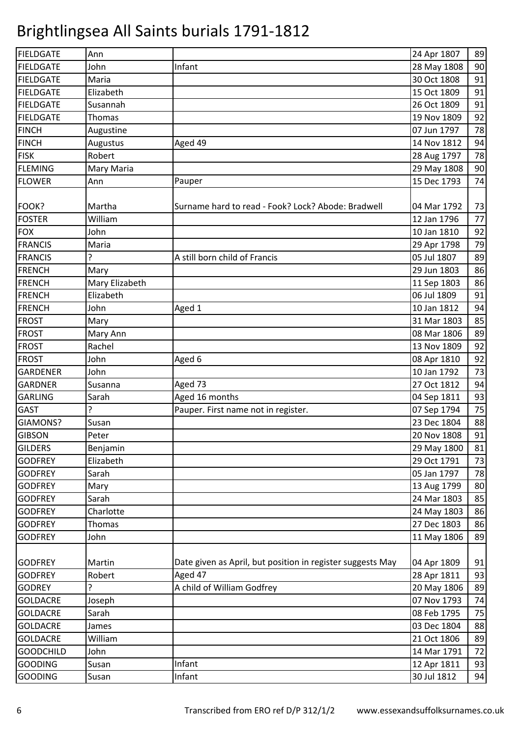| <b>FIELDGATE</b> | Ann            |                                                            | 24 Apr 1807 | 89 |
|------------------|----------------|------------------------------------------------------------|-------------|----|
| <b>FIELDGATE</b> | John           | Infant                                                     | 28 May 1808 | 90 |
| <b>FIELDGATE</b> | Maria          |                                                            | 30 Oct 1808 | 91 |
| <b>FIELDGATE</b> | Elizabeth      |                                                            | 15 Oct 1809 | 91 |
| <b>FIELDGATE</b> | Susannah       |                                                            | 26 Oct 1809 | 91 |
| <b>FIELDGATE</b> | Thomas         |                                                            | 19 Nov 1809 | 92 |
| <b>FINCH</b>     | Augustine      |                                                            | 07 Jun 1797 | 78 |
| <b>FINCH</b>     | Augustus       | Aged 49                                                    | 14 Nov 1812 | 94 |
| <b>FISK</b>      | Robert         |                                                            | 28 Aug 1797 | 78 |
| <b>FLEMING</b>   | Mary Maria     |                                                            | 29 May 1808 | 90 |
| <b>FLOWER</b>    | Ann            | Pauper                                                     | 15 Dec 1793 | 74 |
|                  |                |                                                            |             |    |
| FOOK?            | Martha         | Surname hard to read - Fook? Lock? Abode: Bradwell         | 04 Mar 1792 | 73 |
| <b>FOSTER</b>    | William        |                                                            | 12 Jan 1796 | 77 |
| <b>FOX</b>       | John           |                                                            | 10 Jan 1810 | 92 |
| <b>FRANCIS</b>   | Maria          |                                                            | 29 Apr 1798 | 79 |
| <b>FRANCIS</b>   |                | A still born child of Francis                              | 05 Jul 1807 | 89 |
| <b>FRENCH</b>    | Mary           |                                                            | 29 Jun 1803 | 86 |
| <b>FRENCH</b>    | Mary Elizabeth |                                                            | 11 Sep 1803 | 86 |
| <b>FRENCH</b>    | Elizabeth      |                                                            | 06 Jul 1809 | 91 |
| <b>FRENCH</b>    | John           | Aged 1                                                     | 10 Jan 1812 | 94 |
| <b>FROST</b>     | Mary           |                                                            | 31 Mar 1803 | 85 |
| <b>FROST</b>     | Mary Ann       |                                                            | 08 Mar 1806 | 89 |
| <b>FROST</b>     | Rachel         |                                                            | 13 Nov 1809 | 92 |
| <b>FROST</b>     | John           | Aged 6                                                     | 08 Apr 1810 | 92 |
| <b>GARDENER</b>  | John           |                                                            | 10 Jan 1792 | 73 |
| <b>GARDNER</b>   | Susanna        | Aged 73                                                    | 27 Oct 1812 | 94 |
| <b>GARLING</b>   | Sarah          | Aged 16 months                                             | 04 Sep 1811 | 93 |
| <b>GAST</b>      | ?              | Pauper. First name not in register.                        | 07 Sep 1794 | 75 |
| GIAMONS?         | Susan          |                                                            | 23 Dec 1804 | 88 |
| <b>GIBSON</b>    | Peter          |                                                            | 20 Nov 1808 | 91 |
| <b>GILDERS</b>   | Benjamin       |                                                            | 29 May 1800 | 81 |
| <b>GODFREY</b>   | Elizabeth      |                                                            | 29 Oct 1791 | 73 |
| <b>GODFREY</b>   | Sarah          |                                                            | 05 Jan 1797 | 78 |
| <b>GODFREY</b>   | Mary           |                                                            | 13 Aug 1799 | 80 |
| <b>GODFREY</b>   | Sarah          |                                                            | 24 Mar 1803 | 85 |
| <b>GODFREY</b>   | Charlotte      |                                                            | 24 May 1803 | 86 |
| <b>GODFREY</b>   | <b>Thomas</b>  |                                                            | 27 Dec 1803 | 86 |
| <b>GODFREY</b>   | John           |                                                            | 11 May 1806 | 89 |
|                  |                |                                                            |             |    |
| <b>GODFREY</b>   | Martin         | Date given as April, but position in register suggests May | 04 Apr 1809 | 91 |
| <b>GODFREY</b>   | Robert         | Aged 47                                                    | 28 Apr 1811 | 93 |
| <b>GODREY</b>    | ?              | A child of William Godfrey                                 | 20 May 1806 | 89 |
| <b>GOLDACRE</b>  | Joseph         |                                                            | 07 Nov 1793 | 74 |
| <b>GOLDACRE</b>  | Sarah          |                                                            | 08 Feb 1795 | 75 |
| <b>GOLDACRE</b>  | James          |                                                            | 03 Dec 1804 | 88 |
| <b>GOLDACRE</b>  | William        |                                                            | 21 Oct 1806 | 89 |
| <b>GOODCHILD</b> | John           |                                                            | 14 Mar 1791 | 72 |
| <b>GOODING</b>   | Susan          | Infant                                                     | 12 Apr 1811 | 93 |
| <b>GOODING</b>   | Susan          | Infant                                                     | 30 Jul 1812 | 94 |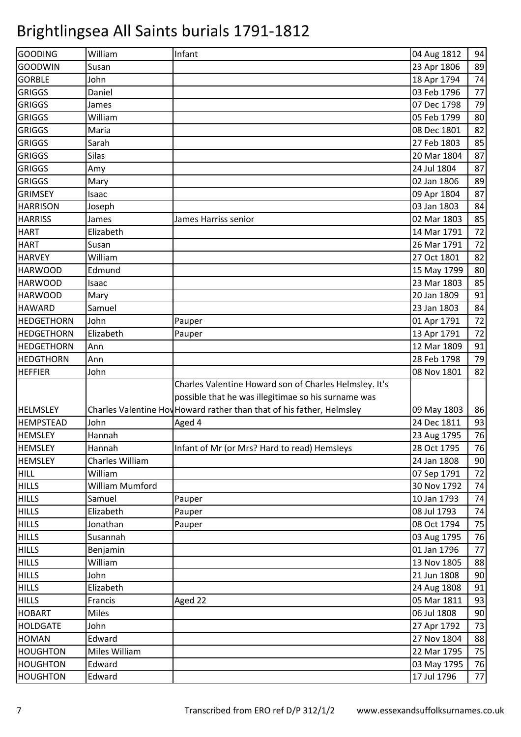| GOODING                     | William          | Infant                                                                | 04 Aug 1812                | 94                                                       |
|-----------------------------|------------------|-----------------------------------------------------------------------|----------------------------|----------------------------------------------------------|
| GOODWIN                     | Susan            |                                                                       | 23 Apr 1806                | 89                                                       |
| <b>GORBLE</b>               | John             |                                                                       | 18 Apr 1794                | 74                                                       |
| <b>GRIGGS</b>               | Daniel           |                                                                       | 03 Feb 1796                | 77                                                       |
| <b>GRIGGS</b>               | James            |                                                                       | 07 Dec 1798                | 79                                                       |
| <b>GRIGGS</b>               | William          |                                                                       | 05 Feb 1799                | 80                                                       |
| <b>GRIGGS</b>               | Maria            |                                                                       | 08 Dec 1801                | 82                                                       |
| <b>GRIGGS</b>               | Sarah            |                                                                       | 27 Feb 1803                | 85                                                       |
| <b>GRIGGS</b>               | <b>Silas</b>     |                                                                       | 20 Mar 1804                | 87                                                       |
| <b>GRIGGS</b>               | Amy              |                                                                       | 24 Jul 1804                | 87                                                       |
| <b>GRIGGS</b>               | Mary             |                                                                       | 02 Jan 1806                | 89                                                       |
| <b>GRIMSEY</b>              | Isaac            |                                                                       | 09 Apr 1804                | 87                                                       |
| <b>HARRISON</b>             | Joseph           |                                                                       | 03 Jan 1803                | 84                                                       |
| <b>HARRISS</b>              | James            | James Harriss senior                                                  | 02 Mar 1803                | 85                                                       |
| <b>HART</b>                 | Elizabeth        |                                                                       | 14 Mar 1791                | 72                                                       |
| <b>HART</b>                 | Susan            |                                                                       | 26 Mar 1791                | 72                                                       |
| <b>HARVEY</b>               | William          |                                                                       | 27 Oct 1801                | 82                                                       |
| <b>HARWOOD</b>              | Edmund           |                                                                       | 15 May 1799                | 80                                                       |
| <b>HARWOOD</b>              | Isaac            |                                                                       | 23 Mar 1803                | 85                                                       |
| <b>HARWOOD</b>              | Mary             |                                                                       | 20 Jan 1809                | 91                                                       |
| <b>HAWARD</b>               | Samuel           |                                                                       | 23 Jan 1803                | 84                                                       |
| <b>HEDGETHORN</b>           | John             | Pauper                                                                | 01 Apr 1791                | 72                                                       |
| <b>HEDGETHORN</b>           | Elizabeth        | Pauper                                                                | 13 Apr 1791                | 72                                                       |
| <b>HEDGETHORN</b>           | Ann              |                                                                       | 12 Mar 1809                | 91                                                       |
| <b>HEDGTHORN</b>            | Ann              |                                                                       | 28 Feb 1798                | 79                                                       |
| <b>HEFFIER</b>              | John             |                                                                       | 08 Nov 1801                | 82                                                       |
|                             |                  | Charles Valentine Howard son of Charles Helmsley. It's                |                            |                                                          |
|                             |                  |                                                                       |                            |                                                          |
|                             |                  | possible that he was illegitimae so his surname was                   |                            |                                                          |
| <b>HELMSLEY</b>             |                  | Charles Valentine Hov Howard rather than that of his father, Helmsley | 09 May 1803                |                                                          |
| <b>HEMPSTEAD</b>            | John             | Aged 4                                                                | 24 Dec 1811                |                                                          |
| <b>HEMSLEY</b>              | Hannah           |                                                                       | 23 Aug 1795                |                                                          |
| <b>HEMSLEY</b>              | Hannah           | Infant of Mr (or Mrs? Hard to read) Hemsleys                          | 28 Oct 1795                |                                                          |
| <b>HEMSLEY</b>              | Charles William  |                                                                       | 24 Jan 1808                |                                                          |
| <b>HILL</b>                 | William          |                                                                       | 07 Sep 1791                | 72                                                       |
| <b>HILLS</b>                | William Mumford  |                                                                       | 30 Nov 1792                |                                                          |
| <b>HILLS</b>                | Samuel           | Pauper                                                                | 10 Jan 1793                |                                                          |
| <b>HILLS</b>                | Elizabeth        | Pauper                                                                | 08 Jul 1793                |                                                          |
| <b>HILLS</b>                | Jonathan         | Pauper                                                                | 08 Oct 1794                |                                                          |
| <b>HILLS</b>                | Susannah         |                                                                       | 03 Aug 1795                | 86<br>93<br>76<br>76<br>90<br>74<br>74<br>74<br>75<br>76 |
| <b>HILLS</b>                | Benjamin         |                                                                       | 01 Jan 1796                |                                                          |
| <b>HILLS</b>                | William          |                                                                       | 13 Nov 1805                | 77<br>88                                                 |
| <b>HILLS</b>                | John             |                                                                       | 21 Jun 1808                |                                                          |
| <b>HILLS</b>                | Elizabeth        |                                                                       | 24 Aug 1808                | 90<br>91                                                 |
| <b>HILLS</b>                | Francis          | Aged 22                                                               | 05 Mar 1811                |                                                          |
| <b>HOBART</b>               | Miles            |                                                                       | 06 Jul 1808                | 93<br>90                                                 |
| <b>HOLDGATE</b>             | John             |                                                                       | 27 Apr 1792                | 73                                                       |
| <b>HOMAN</b>                | Edward           |                                                                       | 27 Nov 1804                | 88                                                       |
| <b>HOUGHTON</b>             | Miles William    |                                                                       | 22 Mar 1795                | 75                                                       |
| <b>HOUGHTON</b><br>HOUGHTON | Edward<br>Edward |                                                                       | 03 May 1795<br>17 Jul 1796 | 76<br>77                                                 |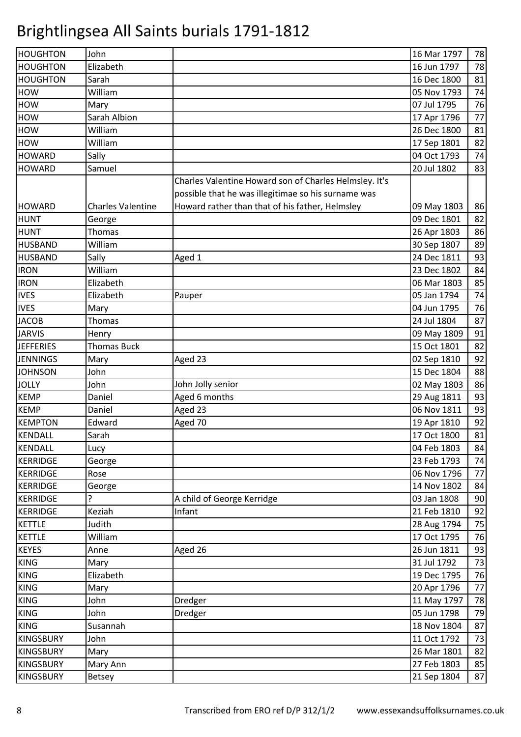| <b>HOUGHTON</b>  | John                     |                                                        | 16 Mar 1797 | 78 |
|------------------|--------------------------|--------------------------------------------------------|-------------|----|
| <b>HOUGHTON</b>  | Elizabeth                |                                                        | 16 Jun 1797 | 78 |
| <b>HOUGHTON</b>  | Sarah                    |                                                        | 16 Dec 1800 | 81 |
| <b>HOW</b>       | William                  |                                                        | 05 Nov 1793 | 74 |
| <b>HOW</b>       | Mary                     |                                                        | 07 Jul 1795 | 76 |
| <b>HOW</b>       | Sarah Albion             |                                                        | 17 Apr 1796 | 77 |
| <b>HOW</b>       | William                  |                                                        | 26 Dec 1800 | 81 |
| <b>HOW</b>       | William                  |                                                        | 17 Sep 1801 | 82 |
| <b>HOWARD</b>    | Sally                    |                                                        | 04 Oct 1793 | 74 |
| <b>HOWARD</b>    | Samuel                   |                                                        | 20 Jul 1802 | 83 |
|                  |                          | Charles Valentine Howard son of Charles Helmsley. It's |             |    |
|                  |                          | possible that he was illegitimae so his surname was    |             |    |
| <b>HOWARD</b>    | <b>Charles Valentine</b> | Howard rather than that of his father, Helmsley        | 09 May 1803 | 86 |
| <b>HUNT</b>      | George                   |                                                        | 09 Dec 1801 | 82 |
| <b>HUNT</b>      | Thomas                   |                                                        | 26 Apr 1803 | 86 |
| <b>HUSBAND</b>   | William                  |                                                        | 30 Sep 1807 | 89 |
| <b>HUSBAND</b>   | Sally                    | Aged 1                                                 | 24 Dec 1811 | 93 |
| <b>IRON</b>      | William                  |                                                        | 23 Dec 1802 | 84 |
| <b>IRON</b>      | Elizabeth                |                                                        | 06 Mar 1803 | 85 |
| <b>IVES</b>      | Elizabeth                | Pauper                                                 | 05 Jan 1794 | 74 |
| <b>IVES</b>      | Mary                     |                                                        | 04 Jun 1795 | 76 |
| <b>JACOB</b>     | Thomas                   |                                                        | 24 Jul 1804 | 87 |
| <b>JARVIS</b>    | Henry                    |                                                        | 09 May 1809 | 91 |
| <b>JEFFERIES</b> | <b>Thomas Buck</b>       |                                                        | 15 Oct 1801 | 82 |
| <b>JENNINGS</b>  | Mary                     | Aged 23                                                | 02 Sep 1810 | 92 |
| <b>JOHNSON</b>   | John                     |                                                        | 15 Dec 1804 | 88 |
| <b>JOLLY</b>     | John                     | John Jolly senior                                      | 02 May 1803 | 86 |
| <b>KEMP</b>      | Daniel                   | Aged 6 months                                          | 29 Aug 1811 | 93 |
| <b>KEMP</b>      | Daniel                   | Aged 23                                                | 06 Nov 1811 | 93 |
| <b>KEMPTON</b>   | Edward                   | Aged 70                                                | 19 Apr 1810 | 92 |
| <b>KENDALL</b>   | Sarah                    |                                                        | 17 Oct 1800 | 81 |
| KENDALL          | Lucy                     |                                                        | 04 Feb 1803 | 84 |
| <b>KERRIDGE</b>  | George                   |                                                        | 23 Feb 1793 | 74 |
| <b>KERRIDGE</b>  | Rose                     |                                                        | 06 Nov 1796 | 77 |
| <b>KERRIDGE</b>  | George                   |                                                        | 14 Nov 1802 | 84 |
| <b>KERRIDGE</b>  | 5.                       | A child of George Kerridge                             | 03 Jan 1808 | 90 |
| <b>KERRIDGE</b>  | Keziah                   | Infant                                                 | 21 Feb 1810 | 92 |
| <b>KETTLE</b>    | Judith                   |                                                        | 28 Aug 1794 | 75 |
| <b>KETTLE</b>    | William                  |                                                        | 17 Oct 1795 | 76 |
| <b>KEYES</b>     | Anne                     | Aged 26                                                | 26 Jun 1811 | 93 |
| <b>KING</b>      | Mary                     |                                                        | 31 Jul 1792 | 73 |
| <b>KING</b>      | Elizabeth                |                                                        | 19 Dec 1795 | 76 |
| <b>KING</b>      | Mary                     |                                                        | 20 Apr 1796 | 77 |
| <b>KING</b>      | John                     | Dredger                                                | 11 May 1797 | 78 |
| <b>KING</b>      | John                     | Dredger                                                | 05 Jun 1798 | 79 |
| <b>KING</b>      | Susannah                 |                                                        | 18 Nov 1804 | 87 |
| <b>KINGSBURY</b> | John                     |                                                        | 11 Oct 1792 | 73 |
| <b>KINGSBURY</b> | Mary                     |                                                        | 26 Mar 1801 | 82 |
| <b>KINGSBURY</b> | Mary Ann                 |                                                        | 27 Feb 1803 | 85 |
| <b>KINGSBURY</b> | Betsey                   |                                                        | 21 Sep 1804 | 87 |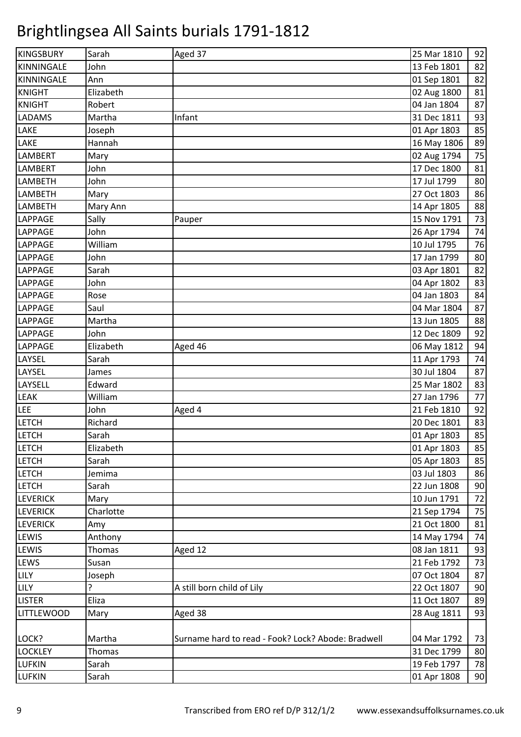| <b>KINGSBURY</b>  | Sarah     | Aged 37                                            | 25 Mar 1810 | 92 |
|-------------------|-----------|----------------------------------------------------|-------------|----|
| <b>KINNINGALE</b> | John      |                                                    | 13 Feb 1801 | 82 |
| KINNINGALE        | Ann       |                                                    | 01 Sep 1801 | 82 |
| <b>KNIGHT</b>     | Elizabeth |                                                    | 02 Aug 1800 | 81 |
| <b>KNIGHT</b>     | Robert    |                                                    | 04 Jan 1804 | 87 |
| <b>LADAMS</b>     | Martha    | Infant                                             | 31 Dec 1811 | 93 |
| LAKE              | Joseph    |                                                    | 01 Apr 1803 | 85 |
| LAKE              | Hannah    |                                                    | 16 May 1806 | 89 |
| <b>LAMBERT</b>    | Mary      |                                                    | 02 Aug 1794 | 75 |
| <b>LAMBERT</b>    | John      |                                                    | 17 Dec 1800 | 81 |
| <b>LAMBETH</b>    | John      |                                                    | 17 Jul 1799 | 80 |
| LAMBETH           | Mary      |                                                    | 27 Oct 1803 | 86 |
| LAMBETH           | Mary Ann  |                                                    | 14 Apr 1805 | 88 |
| <b>LAPPAGE</b>    | Sally     | Pauper                                             | 15 Nov 1791 | 73 |
| <b>LAPPAGE</b>    | John      |                                                    | 26 Apr 1794 | 74 |
| LAPPAGE           | William   |                                                    | 10 Jul 1795 | 76 |
| LAPPAGE           | John      |                                                    | 17 Jan 1799 | 80 |
| <b>LAPPAGE</b>    | Sarah     |                                                    | 03 Apr 1801 | 82 |
| LAPPAGE           | John      |                                                    | 04 Apr 1802 | 83 |
| <b>LAPPAGE</b>    | Rose      |                                                    | 04 Jan 1803 | 84 |
| <b>LAPPAGE</b>    | Saul      |                                                    | 04 Mar 1804 | 87 |
| LAPPAGE           | Martha    |                                                    | 13 Jun 1805 | 88 |
| <b>LAPPAGE</b>    | John      |                                                    | 12 Dec 1809 | 92 |
| LAPPAGE           | Elizabeth | Aged 46                                            | 06 May 1812 | 94 |
| LAYSEL            | Sarah     |                                                    | 11 Apr 1793 | 74 |
| LAYSEL            | James     |                                                    | 30 Jul 1804 | 87 |
| LAYSELL           | Edward    |                                                    | 25 Mar 1802 | 83 |
| <b>LEAK</b>       | William   |                                                    | 27 Jan 1796 | 77 |
| <b>LEE</b>        | John      | Aged 4                                             | 21 Feb 1810 | 92 |
| <b>LETCH</b>      | Richard   |                                                    | 20 Dec 1801 | 83 |
| <b>LETCH</b>      | Sarah     |                                                    | 01 Apr 1803 | 85 |
| <b>LETCH</b>      | Elizabeth |                                                    | 01 Apr 1803 | 85 |
| <b>LETCH</b>      | Sarah     |                                                    | 05 Apr 1803 | 85 |
| <b>LETCH</b>      | Jemima    |                                                    | 03 Jul 1803 | 86 |
| <b>LETCH</b>      | Sarah     |                                                    | 22 Jun 1808 | 90 |
| <b>LEVERICK</b>   | Mary      |                                                    | 10 Jun 1791 | 72 |
| <b>LEVERICK</b>   | Charlotte |                                                    | 21 Sep 1794 | 75 |
| <b>LEVERICK</b>   | Amy       |                                                    | 21 Oct 1800 | 81 |
| LEWIS             | Anthony   |                                                    | 14 May 1794 | 74 |
| LEWIS             | Thomas    | Aged 12                                            | 08 Jan 1811 | 93 |
| LEWS              | Susan     |                                                    | 21 Feb 1792 | 73 |
| LILY              | Joseph    |                                                    | 07 Oct 1804 | 87 |
| <b>LILY</b>       |           | A still born child of Lily                         | 22 Oct 1807 | 90 |
| <b>LISTER</b>     | Eliza     |                                                    | 11 Oct 1807 | 89 |
| <b>LITTLEWOOD</b> | Mary      | Aged 38                                            | 28 Aug 1811 | 93 |
|                   |           |                                                    |             |    |
| LOCK?             | Martha    | Surname hard to read - Fook? Lock? Abode: Bradwell | 04 Mar 1792 | 73 |
| <b>LOCKLEY</b>    | Thomas    |                                                    | 31 Dec 1799 | 80 |
| <b>LUFKIN</b>     | Sarah     |                                                    | 19 Feb 1797 | 78 |
| <b>LUFKIN</b>     | Sarah     |                                                    | 01 Apr 1808 | 90 |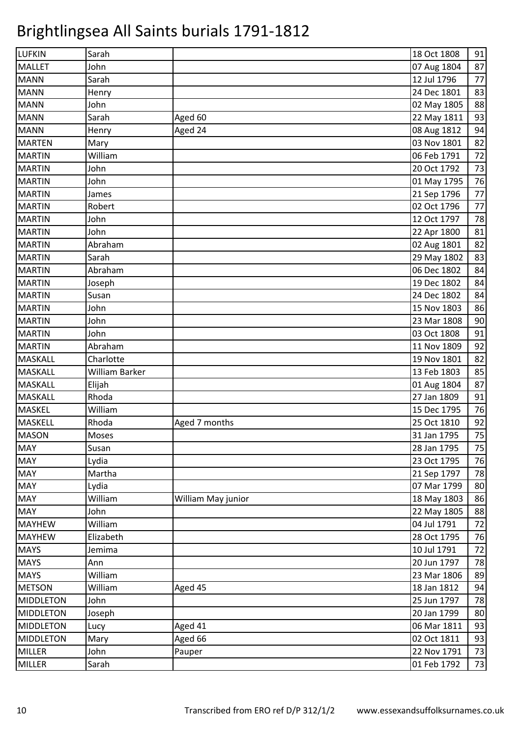| <b>LUFKIN</b>    | Sarah          |                    | 18 Oct 1808 | 91 |
|------------------|----------------|--------------------|-------------|----|
| <b>MALLET</b>    | John           |                    | 07 Aug 1804 | 87 |
| <b>MANN</b>      | Sarah          |                    | 12 Jul 1796 | 77 |
| <b>MANN</b>      | Henry          |                    | 24 Dec 1801 | 83 |
| <b>MANN</b>      | John           |                    | 02 May 1805 | 88 |
| <b>MANN</b>      | Sarah          | Aged 60            | 22 May 1811 | 93 |
| <b>MANN</b>      | Henry          | Aged 24            | 08 Aug 1812 | 94 |
| <b>MARTEN</b>    | Mary           |                    | 03 Nov 1801 | 82 |
| <b>MARTIN</b>    | William        |                    | 06 Feb 1791 | 72 |
| <b>MARTIN</b>    | John           |                    | 20 Oct 1792 | 73 |
| <b>MARTIN</b>    | John           |                    | 01 May 1795 | 76 |
| <b>MARTIN</b>    | James          |                    | 21 Sep 1796 | 77 |
| <b>MARTIN</b>    | Robert         |                    | 02 Oct 1796 | 77 |
| <b>MARTIN</b>    | John           |                    | 12 Oct 1797 | 78 |
| <b>MARTIN</b>    | John           |                    | 22 Apr 1800 | 81 |
| <b>MARTIN</b>    | Abraham        |                    | 02 Aug 1801 | 82 |
| <b>MARTIN</b>    | Sarah          |                    | 29 May 1802 | 83 |
| <b>MARTIN</b>    | Abraham        |                    | 06 Dec 1802 | 84 |
| <b>MARTIN</b>    | Joseph         |                    | 19 Dec 1802 | 84 |
| <b>MARTIN</b>    | Susan          |                    | 24 Dec 1802 | 84 |
| <b>MARTIN</b>    | John           |                    | 15 Nov 1803 | 86 |
| <b>MARTIN</b>    | John           |                    | 23 Mar 1808 | 90 |
| <b>MARTIN</b>    | John           |                    | 03 Oct 1808 | 91 |
| <b>MARTIN</b>    | Abraham        |                    | 11 Nov 1809 | 92 |
| <b>MASKALL</b>   | Charlotte      |                    | 19 Nov 1801 | 82 |
| <b>MASKALL</b>   | William Barker |                    | 13 Feb 1803 | 85 |
| <b>MASKALL</b>   | Elijah         |                    | 01 Aug 1804 | 87 |
| <b>MASKALL</b>   | Rhoda          |                    | 27 Jan 1809 | 91 |
| <b>MASKEL</b>    | William        |                    | 15 Dec 1795 | 76 |
| MASKELL          | Rhoda          | Aged 7 months      | 25 Oct 1810 | 92 |
| <b>MASON</b>     | Moses          |                    | 31 Jan 1795 | 75 |
| <b>MAY</b>       | Susan          |                    | 28 Jan 1795 | 75 |
| <b>MAY</b>       | Lydia          |                    | 23 Oct 1795 | 76 |
| <b>MAY</b>       | Martha         |                    | 21 Sep 1797 | 78 |
| <b>MAY</b>       | Lydia          |                    | 07 Mar 1799 | 80 |
| <b>MAY</b>       | William        | William May junior | 18 May 1803 | 86 |
| <b>MAY</b>       | John           |                    | 22 May 1805 | 88 |
| <b>MAYHEW</b>    | William        |                    | 04 Jul 1791 | 72 |
| <b>MAYHEW</b>    | Elizabeth      |                    | 28 Oct 1795 | 76 |
| <b>MAYS</b>      | Jemima         |                    | 10 Jul 1791 | 72 |
| <b>MAYS</b>      | Ann            |                    | 20 Jun 1797 | 78 |
| <b>MAYS</b>      | William        |                    | 23 Mar 1806 | 89 |
| <b>METSON</b>    | William        | Aged 45            | 18 Jan 1812 | 94 |
| <b>MIDDLETON</b> | John           |                    | 25 Jun 1797 | 78 |
| <b>MIDDLETON</b> | Joseph         |                    | 20 Jan 1799 | 80 |
| <b>MIDDLETON</b> | Lucy           | Aged 41            | 06 Mar 1811 | 93 |
| <b>MIDDLETON</b> | Mary           | Aged 66            | 02 Oct 1811 | 93 |
| <b>MILLER</b>    | John           | Pauper             | 22 Nov 1791 | 73 |
| <b>MILLER</b>    | Sarah          |                    | 01 Feb 1792 | 73 |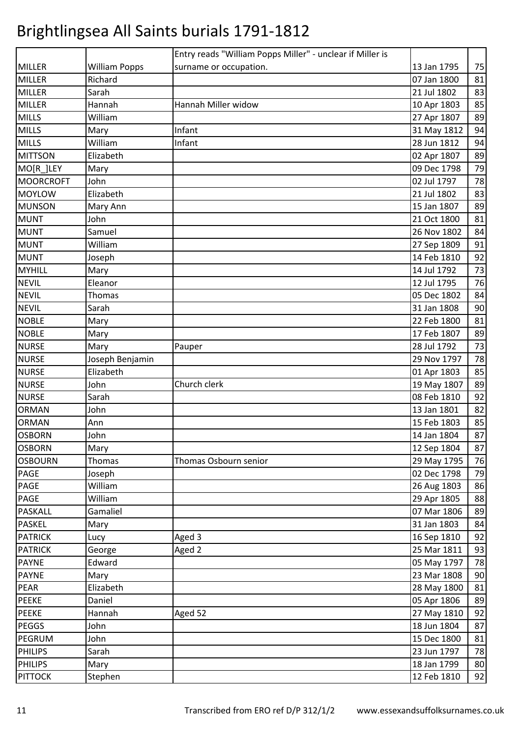|                  |                      | Entry reads "William Popps Miller" - unclear if Miller is |             |    |
|------------------|----------------------|-----------------------------------------------------------|-------------|----|
| <b>MILLER</b>    | <b>William Popps</b> | surname or occupation.                                    | 13 Jan 1795 | 75 |
| <b>MILLER</b>    | Richard              |                                                           | 07 Jan 1800 | 81 |
| <b>MILLER</b>    | Sarah                |                                                           | 21 Jul 1802 | 83 |
| <b>MILLER</b>    | Hannah               | Hannah Miller widow                                       | 10 Apr 1803 | 85 |
| <b>MILLS</b>     | William              |                                                           | 27 Apr 1807 | 89 |
| <b>MILLS</b>     | Mary                 | Infant                                                    | 31 May 1812 | 94 |
| <b>MILLS</b>     | William              | Infant                                                    | 28 Jun 1812 | 94 |
| <b>MITTSON</b>   | Elizabeth            |                                                           | 02 Apr 1807 | 89 |
| MO[R_]LEY        | Mary                 |                                                           | 09 Dec 1798 | 79 |
| <b>MOORCROFT</b> | John                 |                                                           | 02 Jul 1797 | 78 |
| <b>MOYLOW</b>    | Elizabeth            |                                                           | 21 Jul 1802 | 83 |
| <b>MUNSON</b>    | Mary Ann             |                                                           | 15 Jan 1807 | 89 |
| <b>MUNT</b>      | John                 |                                                           | 21 Oct 1800 | 81 |
| <b>MUNT</b>      | Samuel               |                                                           | 26 Nov 1802 | 84 |
| <b>MUNT</b>      | William              |                                                           | 27 Sep 1809 | 91 |
| <b>MUNT</b>      | Joseph               |                                                           | 14 Feb 1810 | 92 |
| <b>MYHILL</b>    | Mary                 |                                                           | 14 Jul 1792 | 73 |
| <b>NEVIL</b>     | Eleanor              |                                                           | 12 Jul 1795 | 76 |
| <b>NEVIL</b>     | Thomas               |                                                           | 05 Dec 1802 | 84 |
| <b>NEVIL</b>     | Sarah                |                                                           | 31 Jan 1808 | 90 |
| <b>NOBLE</b>     | Mary                 |                                                           | 22 Feb 1800 | 81 |
| <b>NOBLE</b>     | Mary                 |                                                           | 17 Feb 1807 | 89 |
| <b>NURSE</b>     | Mary                 | Pauper                                                    | 28 Jul 1792 | 73 |
| <b>NURSE</b>     | Joseph Benjamin      |                                                           | 29 Nov 1797 | 78 |
| <b>NURSE</b>     | Elizabeth            |                                                           | 01 Apr 1803 | 85 |
| <b>NURSE</b>     | John                 | Church clerk                                              | 19 May 1807 | 89 |
| <b>NURSE</b>     | Sarah                |                                                           | 08 Feb 1810 | 92 |
| <b>ORMAN</b>     | John                 |                                                           | 13 Jan 1801 | 82 |
| <b>ORMAN</b>     | Ann                  |                                                           | 15 Feb 1803 | 85 |
| <b>OSBORN</b>    | John                 |                                                           | 14 Jan 1804 | 87 |
| <b>OSBORN</b>    | Mary                 |                                                           | 12 Sep 1804 | 87 |
| <b>OSBOURN</b>   | Thomas               | Thomas Osbourn senior                                     | 29 May 1795 | 76 |
| PAGE             | Joseph               |                                                           | 02 Dec 1798 | 79 |
| PAGE             | William              |                                                           | 26 Aug 1803 | 86 |
| PAGE             | William              |                                                           | 29 Apr 1805 | 88 |
| PASKALL          | Gamaliel             |                                                           | 07 Mar 1806 | 89 |
| <b>PASKEL</b>    | Mary                 |                                                           | 31 Jan 1803 | 84 |
| <b>PATRICK</b>   | Lucy                 | Aged 3                                                    | 16 Sep 1810 | 92 |
| <b>PATRICK</b>   | George               | Aged 2                                                    | 25 Mar 1811 | 93 |
| <b>PAYNE</b>     | Edward               |                                                           | 05 May 1797 | 78 |
| PAYNE            | Mary                 |                                                           | 23 Mar 1808 | 90 |
| PEAR             | Elizabeth            |                                                           | 28 May 1800 | 81 |
| PEEKE            | Daniel               |                                                           | 05 Apr 1806 | 89 |
| <b>PEEKE</b>     | Hannah               | Aged 52                                                   | 27 May 1810 | 92 |
| PEGGS            | John                 |                                                           | 18 Jun 1804 | 87 |
| PEGRUM           | John                 |                                                           | 15 Dec 1800 | 81 |
| <b>PHILIPS</b>   | Sarah                |                                                           | 23 Jun 1797 | 78 |
| <b>PHILIPS</b>   | Mary                 |                                                           | 18 Jan 1799 | 80 |
| <b>PITTOCK</b>   | Stephen              |                                                           | 12 Feb 1810 | 92 |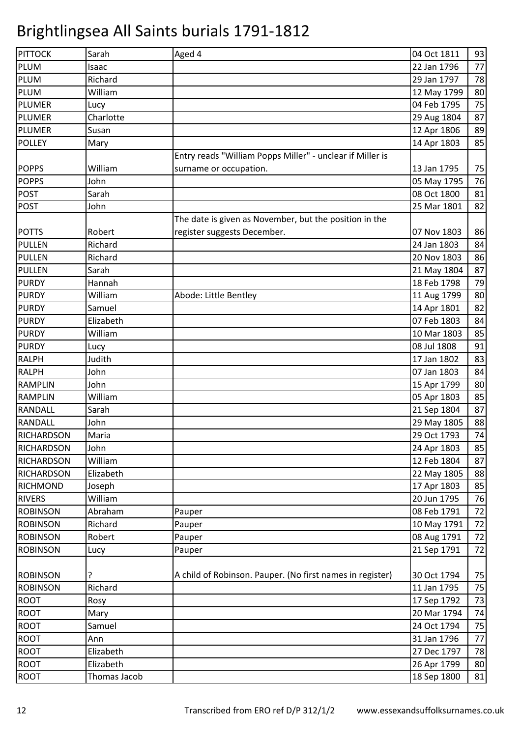| PITTOCK           | Sarah        | Aged 4                                                    | 04 Oct 1811 | 93 |
|-------------------|--------------|-----------------------------------------------------------|-------------|----|
| <b>PLUM</b>       | Isaac        |                                                           | 22 Jan 1796 | 77 |
| <b>PLUM</b>       | Richard      |                                                           | 29 Jan 1797 | 78 |
| PLUM              | William      |                                                           | 12 May 1799 | 80 |
| <b>PLUMER</b>     | Lucy         |                                                           | 04 Feb 1795 | 75 |
| <b>PLUMER</b>     | Charlotte    |                                                           | 29 Aug 1804 | 87 |
| <b>PLUMER</b>     | Susan        |                                                           | 12 Apr 1806 | 89 |
| <b>POLLEY</b>     | Mary         |                                                           | 14 Apr 1803 | 85 |
|                   |              | Entry reads "William Popps Miller" - unclear if Miller is |             |    |
| <b>POPPS</b>      | William      | surname or occupation.                                    | 13 Jan 1795 | 75 |
| <b>POPPS</b>      | John         |                                                           | 05 May 1795 | 76 |
| <b>POST</b>       | Sarah        |                                                           | 08 Oct 1800 | 81 |
| <b>POST</b>       | John         |                                                           | 25 Mar 1801 | 82 |
|                   |              | The date is given as November, but the position in the    |             |    |
| <b>POTTS</b>      | Robert       | register suggests December.                               | 07 Nov 1803 | 86 |
| <b>PULLEN</b>     | Richard      |                                                           | 24 Jan 1803 | 84 |
| <b>PULLEN</b>     | Richard      |                                                           | 20 Nov 1803 | 86 |
| <b>PULLEN</b>     | Sarah        |                                                           | 21 May 1804 | 87 |
| <b>PURDY</b>      | Hannah       |                                                           | 18 Feb 1798 | 79 |
| <b>PURDY</b>      | William      | Abode: Little Bentley                                     | 11 Aug 1799 | 80 |
| <b>PURDY</b>      | Samuel       |                                                           | 14 Apr 1801 | 82 |
| <b>PURDY</b>      | Elizabeth    |                                                           | 07 Feb 1803 | 84 |
| <b>PURDY</b>      | William      |                                                           | 10 Mar 1803 | 85 |
| <b>PURDY</b>      | Lucy         |                                                           | 08 Jul 1808 | 91 |
| <b>RALPH</b>      | Judith       |                                                           | 17 Jan 1802 | 83 |
| <b>RALPH</b>      | John         |                                                           | 07 Jan 1803 | 84 |
| <b>RAMPLIN</b>    | John         |                                                           | 15 Apr 1799 | 80 |
| <b>RAMPLIN</b>    | William      |                                                           | 05 Apr 1803 | 85 |
| <b>RANDALL</b>    | Sarah        |                                                           | 21 Sep 1804 | 87 |
| <b>RANDALL</b>    | John         |                                                           | 29 May 1805 | 88 |
| <b>RICHARDSON</b> | Maria        |                                                           | 29 Oct 1793 | 74 |
| <b>RICHARDSON</b> | John         |                                                           | 24 Apr 1803 | 85 |
| <b>RICHARDSON</b> | William      |                                                           | 12 Feb 1804 | 87 |
| <b>RICHARDSON</b> | Elizabeth    |                                                           | 22 May 1805 | 88 |
| <b>RICHMOND</b>   | Joseph       |                                                           | 17 Apr 1803 | 85 |
| <b>RIVERS</b>     | William      |                                                           | 20 Jun 1795 | 76 |
| <b>ROBINSON</b>   | Abraham      | Pauper                                                    | 08 Feb 1791 | 72 |
| <b>ROBINSON</b>   | Richard      | Pauper                                                    | 10 May 1791 | 72 |
| <b>ROBINSON</b>   | Robert       | Pauper                                                    | 08 Aug 1791 | 72 |
| <b>ROBINSON</b>   | Lucy         | Pauper                                                    | 21 Sep 1791 | 72 |
|                   |              |                                                           |             |    |
| <b>ROBINSON</b>   | ?            | A child of Robinson. Pauper. (No first names in register) | 30 Oct 1794 | 75 |
| <b>ROBINSON</b>   | Richard      |                                                           | 11 Jan 1795 | 75 |
| <b>ROOT</b>       | Rosy         |                                                           | 17 Sep 1792 | 73 |
| <b>ROOT</b>       | Mary         |                                                           | 20 Mar 1794 | 74 |
| <b>ROOT</b>       | Samuel       |                                                           | 24 Oct 1794 | 75 |
| <b>ROOT</b>       | Ann          |                                                           | 31 Jan 1796 | 77 |
| <b>ROOT</b>       | Elizabeth    |                                                           | 27 Dec 1797 | 78 |
| <b>ROOT</b>       | Elizabeth    |                                                           | 26 Apr 1799 | 80 |
| <b>ROOT</b>       | Thomas Jacob |                                                           | 18 Sep 1800 | 81 |
|                   |              |                                                           |             |    |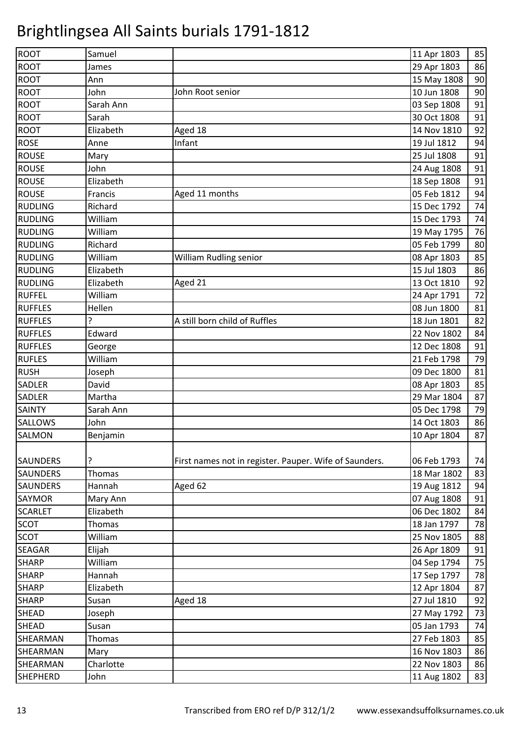| <b>ROOT</b>     | Samuel    |                                                        | 11 Apr 1803 | 85 |
|-----------------|-----------|--------------------------------------------------------|-------------|----|
| <b>ROOT</b>     | James     |                                                        | 29 Apr 1803 | 86 |
| <b>ROOT</b>     | Ann       |                                                        | 15 May 1808 | 90 |
| <b>ROOT</b>     | John      | John Root senior                                       | 10 Jun 1808 | 90 |
| <b>ROOT</b>     | Sarah Ann |                                                        | 03 Sep 1808 | 91 |
| <b>ROOT</b>     | Sarah     |                                                        | 30 Oct 1808 | 91 |
| <b>ROOT</b>     | Elizabeth | Aged 18                                                | 14 Nov 1810 | 92 |
| <b>ROSE</b>     | Anne      | Infant                                                 | 19 Jul 1812 | 94 |
| <b>ROUSE</b>    | Mary      |                                                        | 25 Jul 1808 | 91 |
| <b>ROUSE</b>    | John      |                                                        | 24 Aug 1808 | 91 |
| <b>ROUSE</b>    | Elizabeth |                                                        | 18 Sep 1808 | 91 |
| <b>ROUSE</b>    | Francis   | Aged 11 months                                         | 05 Feb 1812 | 94 |
| <b>RUDLING</b>  | Richard   |                                                        | 15 Dec 1792 | 74 |
| <b>RUDLING</b>  | William   |                                                        | 15 Dec 1793 | 74 |
| <b>RUDLING</b>  | William   |                                                        | 19 May 1795 | 76 |
| <b>RUDLING</b>  | Richard   |                                                        | 05 Feb 1799 | 80 |
| <b>RUDLING</b>  | William   | <b>William Rudling senior</b>                          | 08 Apr 1803 | 85 |
| <b>RUDLING</b>  | Elizabeth |                                                        | 15 Jul 1803 | 86 |
| <b>RUDLING</b>  | Elizabeth | Aged 21                                                | 13 Oct 1810 | 92 |
| <b>RUFFEL</b>   | William   |                                                        | 24 Apr 1791 | 72 |
| <b>RUFFLES</b>  | Hellen    |                                                        | 08 Jun 1800 | 81 |
| <b>RUFFLES</b>  |           | A still born child of Ruffles                          | 18 Jun 1801 | 82 |
| <b>RUFFLES</b>  | Edward    |                                                        | 22 Nov 1802 | 84 |
| <b>RUFFLES</b>  | George    |                                                        | 12 Dec 1808 | 91 |
| <b>RUFLES</b>   | William   |                                                        | 21 Feb 1798 | 79 |
| <b>RUSH</b>     | Joseph    |                                                        | 09 Dec 1800 | 81 |
| SADLER          | David     |                                                        | 08 Apr 1803 | 85 |
| SADLER          | Martha    |                                                        | 29 Mar 1804 | 87 |
| <b>SAINTY</b>   | Sarah Ann |                                                        | 05 Dec 1798 | 79 |
| SALLOWS         | John      |                                                        | 14 Oct 1803 | 86 |
| SALMON          | Benjamin  |                                                        | 10 Apr 1804 | 87 |
| SAUNDERS        |           | First names not in register. Pauper. Wife of Saunders. | 06 Feb 1793 | 74 |
| SAUNDERS        | Thomas    |                                                        | 18 Mar 1802 | 83 |
| <b>SAUNDERS</b> | Hannah    | Aged 62                                                | 19 Aug 1812 | 94 |
| SAYMOR          | Mary Ann  |                                                        | 07 Aug 1808 | 91 |
| <b>SCARLET</b>  | Elizabeth |                                                        | 06 Dec 1802 | 84 |
| <b>SCOT</b>     | Thomas    |                                                        | 18 Jan 1797 | 78 |
| <b>SCOT</b>     | William   |                                                        | 25 Nov 1805 | 88 |
| SEAGAR          | Elijah    |                                                        | 26 Apr 1809 | 91 |
| <b>SHARP</b>    | William   |                                                        | 04 Sep 1794 | 75 |
| <b>SHARP</b>    | Hannah    |                                                        | 17 Sep 1797 | 78 |
| <b>SHARP</b>    | Elizabeth |                                                        | 12 Apr 1804 | 87 |
| <b>SHARP</b>    | Susan     | Aged 18                                                | 27 Jul 1810 | 92 |
| <b>SHEAD</b>    | Joseph    |                                                        | 27 May 1792 | 73 |
| SHEAD           | Susan     |                                                        | 05 Jan 1793 | 74 |
| SHEARMAN        | Thomas    |                                                        | 27 Feb 1803 | 85 |
| SHEARMAN        | Mary      |                                                        | 16 Nov 1803 | 86 |
| SHEARMAN        | Charlotte |                                                        | 22 Nov 1803 | 86 |
| <b>SHEPHERD</b> | John      |                                                        | 11 Aug 1802 | 83 |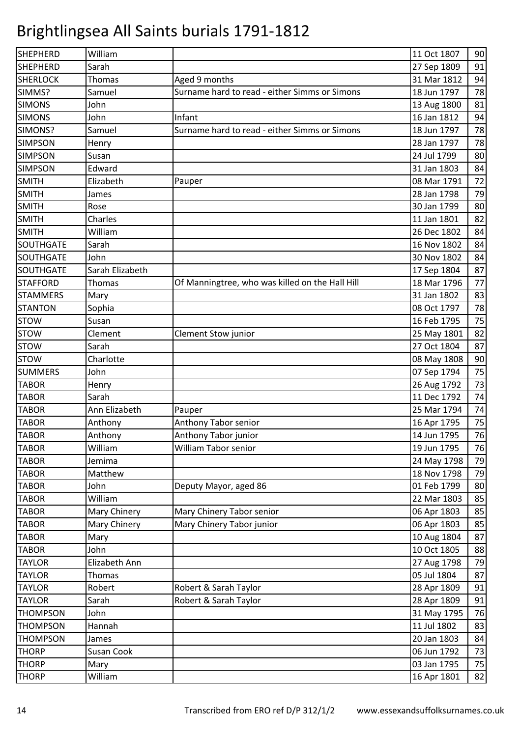| SHEPHERD         | William         |                                                 | 11 Oct 1807 | 90 |
|------------------|-----------------|-------------------------------------------------|-------------|----|
| <b>SHEPHERD</b>  | Sarah           |                                                 | 27 Sep 1809 | 91 |
| <b>SHERLOCK</b>  | Thomas          | Aged 9 months                                   | 31 Mar 1812 | 94 |
| SIMMS?           | Samuel          | Surname hard to read - either Simms or Simons   | 18 Jun 1797 | 78 |
| <b>SIMONS</b>    | John            |                                                 | 13 Aug 1800 | 81 |
| <b>SIMONS</b>    | John            | Infant                                          | 16 Jan 1812 | 94 |
| SIMONS?          | Samuel          | Surname hard to read - either Simms or Simons   | 18 Jun 1797 | 78 |
| <b>SIMPSON</b>   | Henry           |                                                 | 28 Jan 1797 | 78 |
| <b>SIMPSON</b>   | Susan           |                                                 | 24 Jul 1799 | 80 |
| <b>SIMPSON</b>   | Edward          |                                                 | 31 Jan 1803 | 84 |
| <b>SMITH</b>     | Elizabeth       | Pauper                                          | 08 Mar 1791 | 72 |
| <b>SMITH</b>     | James           |                                                 | 28 Jan 1798 | 79 |
| <b>SMITH</b>     | Rose            |                                                 | 30 Jan 1799 | 80 |
| <b>SMITH</b>     | Charles         |                                                 | 11 Jan 1801 | 82 |
| <b>SMITH</b>     | William         |                                                 | 26 Dec 1802 | 84 |
| <b>SOUTHGATE</b> | Sarah           |                                                 | 16 Nov 1802 | 84 |
| <b>SOUTHGATE</b> | John            |                                                 | 30 Nov 1802 | 84 |
| <b>SOUTHGATE</b> | Sarah Elizabeth |                                                 | 17 Sep 1804 | 87 |
| <b>STAFFORD</b>  | <b>Thomas</b>   | Of Manningtree, who was killed on the Hall Hill | 18 Mar 1796 | 77 |
| <b>STAMMERS</b>  | Mary            |                                                 | 31 Jan 1802 | 83 |
| <b>STANTON</b>   | Sophia          |                                                 | 08 Oct 1797 | 78 |
| <b>STOW</b>      | Susan           |                                                 | 16 Feb 1795 | 75 |
| <b>STOW</b>      | Clement         | Clement Stow junior                             | 25 May 1801 | 82 |
| <b>STOW</b>      | Sarah           |                                                 | 27 Oct 1804 | 87 |
| <b>STOW</b>      | Charlotte       |                                                 | 08 May 1808 | 90 |
| <b>SUMMERS</b>   | John            |                                                 | 07 Sep 1794 | 75 |
| <b>TABOR</b>     | Henry           |                                                 | 26 Aug 1792 | 73 |
| <b>TABOR</b>     | Sarah           |                                                 | 11 Dec 1792 | 74 |
| <b>TABOR</b>     | Ann Elizabeth   | Pauper                                          | 25 Mar 1794 | 74 |
| <b>TABOR</b>     | Anthony         | Anthony Tabor senior                            | 16 Apr 1795 | 75 |
| <b>TABOR</b>     | Anthony         | Anthony Tabor junior                            | 14 Jun 1795 | 76 |
| <b>TABOR</b>     | William         | William Tabor senior                            | 19 Jun 1795 | 76 |
| <b>TABOR</b>     | Jemima          |                                                 | 24 May 1798 | 79 |
| <b>TABOR</b>     | Matthew         |                                                 | 18 Nov 1798 | 79 |
| <b>TABOR</b>     | John            | Deputy Mayor, aged 86                           | 01 Feb 1799 | 80 |
| <b>TABOR</b>     | William         |                                                 | 22 Mar 1803 | 85 |
| <b>TABOR</b>     | Mary Chinery    | Mary Chinery Tabor senior                       | 06 Apr 1803 | 85 |
| <b>TABOR</b>     | Mary Chinery    | Mary Chinery Tabor junior                       | 06 Apr 1803 | 85 |
| <b>TABOR</b>     | Mary            |                                                 | 10 Aug 1804 | 87 |
| <b>TABOR</b>     | John            |                                                 | 10 Oct 1805 | 88 |
| <b>TAYLOR</b>    | Elizabeth Ann   |                                                 | 27 Aug 1798 | 79 |
| <b>TAYLOR</b>    | <b>Thomas</b>   |                                                 | 05 Jul 1804 | 87 |
| <b>TAYLOR</b>    | Robert          | Robert & Sarah Taylor                           | 28 Apr 1809 | 91 |
| <b>TAYLOR</b>    | Sarah           | Robert & Sarah Taylor                           | 28 Apr 1809 | 91 |
| <b>THOMPSON</b>  | John            |                                                 | 31 May 1795 | 76 |
| <b>THOMPSON</b>  | Hannah          |                                                 | 11 Jul 1802 | 83 |
| <b>THOMPSON</b>  | James           |                                                 | 20 Jan 1803 | 84 |
| <b>THORP</b>     | Susan Cook      |                                                 | 06 Jun 1792 | 73 |
| <b>THORP</b>     | Mary            |                                                 | 03 Jan 1795 | 75 |
| <b>THORP</b>     | William         |                                                 | 16 Apr 1801 | 82 |
|                  |                 |                                                 |             |    |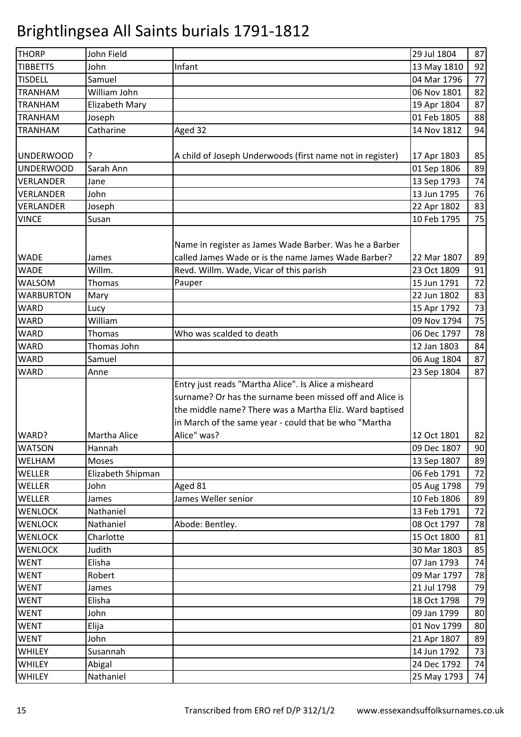| <b>THORP</b>     | John Field        |                                                           | 29 Jul 1804 | 87 |
|------------------|-------------------|-----------------------------------------------------------|-------------|----|
| <b>TIBBETTS</b>  | John              | Infant                                                    | 13 May 1810 | 92 |
| <b>TISDELL</b>   | Samuel            |                                                           | 04 Mar 1796 | 77 |
| <b>TRANHAM</b>   | William John      |                                                           | 06 Nov 1801 | 82 |
| <b>TRANHAM</b>   | Elizabeth Mary    |                                                           | 19 Apr 1804 | 87 |
| <b>TRANHAM</b>   | Joseph            |                                                           | 01 Feb 1805 | 88 |
| <b>TRANHAM</b>   | Catharine         | Aged 32                                                   | 14 Nov 1812 | 94 |
|                  |                   |                                                           |             |    |
| <b>UNDERWOOD</b> | ?                 | A child of Joseph Underwoods (first name not in register) | 17 Apr 1803 | 85 |
| <b>UNDERWOOD</b> | Sarah Ann         |                                                           | 01 Sep 1806 | 89 |
| <b>VERLANDER</b> | Jane              |                                                           | 13 Sep 1793 | 74 |
| <b>VERLANDER</b> | John              |                                                           | 13 Jun 1795 | 76 |
| <b>VERLANDER</b> | Joseph            |                                                           | 22 Apr 1802 | 83 |
| <b>VINCE</b>     | Susan             |                                                           | 10 Feb 1795 | 75 |
|                  |                   |                                                           |             |    |
|                  |                   | Name in register as James Wade Barber. Was he a Barber    |             |    |
| <b>WADE</b>      | James             | called James Wade or is the name James Wade Barber?       | 22 Mar 1807 | 89 |
| <b>WADE</b>      | Willm.            | Revd. Willm. Wade, Vicar of this parish                   | 23 Oct 1809 | 91 |
| <b>WALSOM</b>    | <b>Thomas</b>     | Pauper                                                    | 15 Jun 1791 | 72 |
| <b>WARBURTON</b> | Mary              |                                                           | 22 Jun 1802 | 83 |
| <b>WARD</b>      | Lucy              |                                                           | 15 Apr 1792 | 73 |
| <b>WARD</b>      | William           |                                                           | 09 Nov 1794 | 75 |
| <b>WARD</b>      | Thomas            | Who was scalded to death                                  | 06 Dec 1797 | 78 |
| <b>WARD</b>      | Thomas John       |                                                           | 12 Jan 1803 | 84 |
| <b>WARD</b>      | Samuel            |                                                           | 06 Aug 1804 | 87 |
| <b>WARD</b>      | Anne              |                                                           | 23 Sep 1804 | 87 |
|                  |                   | Entry just reads "Martha Alice". Is Alice a misheard      |             |    |
|                  |                   | surname? Or has the surname been missed off and Alice is  |             |    |
|                  |                   | the middle name? There was a Martha Eliz. Ward baptised   |             |    |
|                  |                   | in March of the same year - could that be who "Martha     |             |    |
| WARD?            | Martha Alice      | Alice" was?                                               | 12 Oct 1801 | 82 |
| <b>WATSON</b>    | Hannah            |                                                           | 09 Dec 1807 | 90 |
| WELHAM           | Moses             |                                                           | 13 Sep 1807 | 89 |
| <b>WELLER</b>    | Elizabeth Shipman |                                                           | 06 Feb 1791 | 72 |
| <b>WELLER</b>    | John              | Aged 81                                                   | 05 Aug 1798 | 79 |
| WELLER           | James             | James Weller senior                                       | 10 Feb 1806 | 89 |
| <b>WENLOCK</b>   | Nathaniel         |                                                           | 13 Feb 1791 | 72 |
| <b>WENLOCK</b>   | Nathaniel         | Abode: Bentley.                                           | 08 Oct 1797 | 78 |
| <b>WENLOCK</b>   | Charlotte         |                                                           | 15 Oct 1800 | 81 |
| <b>WENLOCK</b>   | Judith            |                                                           | 30 Mar 1803 | 85 |
| <b>WENT</b>      | Elisha            |                                                           | 07 Jan 1793 | 74 |
| <b>WENT</b>      | Robert            |                                                           | 09 Mar 1797 | 78 |
| <b>WENT</b>      | James             |                                                           | 21 Jul 1798 | 79 |
| <b>WENT</b>      | Elisha            |                                                           | 18 Oct 1798 | 79 |
| <b>WENT</b>      | John              |                                                           | 09 Jan 1799 | 80 |
| <b>WENT</b>      | Elija             |                                                           | 01 Nov 1799 | 80 |
| <b>WENT</b>      | John              |                                                           | 21 Apr 1807 | 89 |
| WHILEY           | Susannah          |                                                           | 14 Jun 1792 | 73 |
| WHILEY           | Abigal            |                                                           | 24 Dec 1792 | 74 |
| WHILEY           | Nathaniel         |                                                           | 25 May 1793 | 74 |